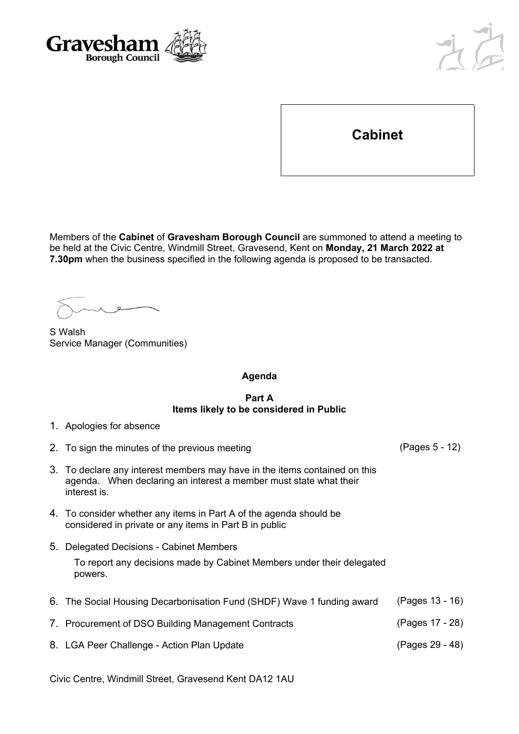



**Cabinet**

Members of the **Cabinet** of **Gravesham Borough Council** are summoned to attend a meeting to be held at the Civic Centre, Windmill Street, Gravesend, Kent on **Monday, 21 March 2022 at 7.30pm** when the business specified in the following agenda is proposed to be transacted.

S Walsh Service Manager (Communities)

## **Agenda**

## **Part A Items likely to be considered in Public**

|  |  | 1. Apologies for absence |
|--|--|--------------------------|
|  |  |                          |

- 2. To sign the minutes of the previous meeting (Pages 5 12)
- 3. To declare any interest members may have in the items contained on this agenda. When declaring an interest a member must state what their interest is.
- 4. To consider whether any items in Part A of the agenda should be considered in private or any items in Part B in public
- 5. Delegated Decisions Cabinet Members To report any decisions made by Cabinet Members under their delegated powers.
- 6. The Social Housing Decarbonisation Fund (SHDF) Wave 1 funding award (Pages 13 16) 7. Procurement of DSO Building Management Contracts (Pages 17 - 28) 8. LGA Peer Challenge - Action Plan Update (Pages 29 - 48)

Civic Centre, Windmill Street, Gravesend Kent DA12 1AU